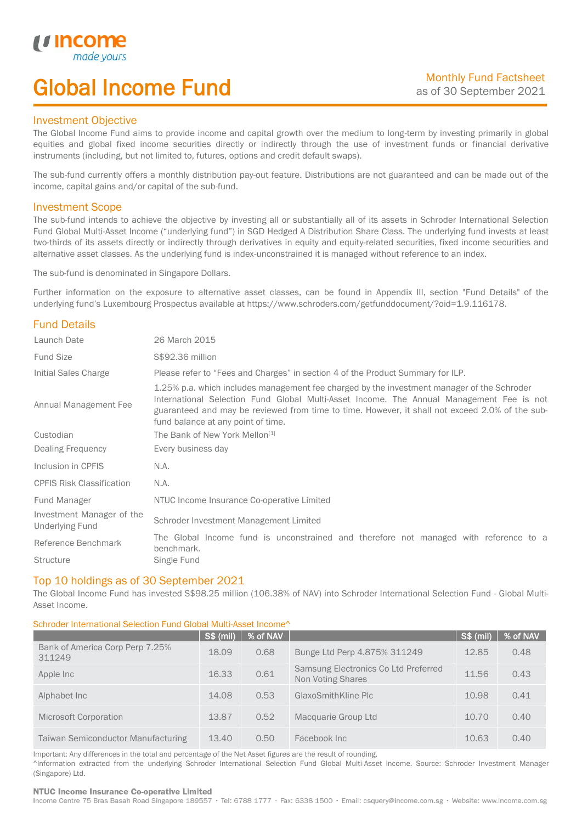# Global Income Fund

## Investment Objective

*u* incor

I

The Global Income Fund aims to provide income and capital growth over the medium to long-term by investing primarily in global equities and global fixed income securities directly or indirectly through the use of investment funds or financial derivative instruments (including, but not limited to, futures, options and credit default swaps).

The sub-fund currently offers a monthly distribution pay-out feature. Distributions are not guaranteed and can be made out of the income, capital gains and/or capital of the sub-fund.

## Investment Scope

The sub-fund intends to achieve the objective by investing all or substantially all of its assets in Schroder International Selection Fund Global Multi-Asset Income ("underlying fund") in SGD Hedged A Distribution Share Class. The underlying fund invests at least two-thirds of its assets directly or indirectly through derivatives in equity and equity-related securities, fixed income securities and alternative asset classes. As the underlying fund is index-unconstrained it is managed without reference to an index.

The sub-fund is denominated in Singapore Dollars.

Further information on the exposure to alternative asset classes, can be found in Appendix III, section "Fund Details" of the underlying fund's Luxembourg Prospectus available at https://www.schroders.com/getfunddocument/?oid=1.9.116178.

## Fund Details

| Launch Date                                         | 26 March 2015                                                                                                                                                                                                                                                                                                                   |  |  |  |  |
|-----------------------------------------------------|---------------------------------------------------------------------------------------------------------------------------------------------------------------------------------------------------------------------------------------------------------------------------------------------------------------------------------|--|--|--|--|
| <b>Fund Size</b>                                    | S\$92.36 million                                                                                                                                                                                                                                                                                                                |  |  |  |  |
| Initial Sales Charge                                | Please refer to "Fees and Charges" in section 4 of the Product Summary for ILP.                                                                                                                                                                                                                                                 |  |  |  |  |
| Annual Management Fee                               | 1.25% p.a. which includes management fee charged by the investment manager of the Schroder<br>International Selection Fund Global Multi-Asset Income. The Annual Management Fee is not<br>guaranteed and may be reviewed from time to time. However, it shall not exceed 2.0% of the sub-<br>fund balance at any point of time. |  |  |  |  |
| Custodian                                           | The Bank of New York Mellon <sup>[1]</sup>                                                                                                                                                                                                                                                                                      |  |  |  |  |
| Dealing Frequency                                   | Every business day                                                                                                                                                                                                                                                                                                              |  |  |  |  |
| Inclusion in CPFIS                                  | N.A.                                                                                                                                                                                                                                                                                                                            |  |  |  |  |
| <b>CPFIS Risk Classification</b>                    | N.A.                                                                                                                                                                                                                                                                                                                            |  |  |  |  |
| Fund Manager                                        | NTUC Income Insurance Co-operative Limited                                                                                                                                                                                                                                                                                      |  |  |  |  |
| Investment Manager of the<br><b>Underlying Fund</b> | Schroder Investment Management Limited                                                                                                                                                                                                                                                                                          |  |  |  |  |
| Reference Benchmark                                 | The Global Income fund is unconstrained and therefore not managed with reference to a<br>benchmark.                                                                                                                                                                                                                             |  |  |  |  |
| <b>Structure</b>                                    | Single Fund                                                                                                                                                                                                                                                                                                                     |  |  |  |  |

### Top 10 holdings as of 30 September 2021

The Global Income Fund has invested S\$98.25 million (106.38% of NAV) into Schroder International Selection Fund - Global Multi-Asset Income.

### Schroder International Selection Fund Global Multi-Asset Income^

|                                           | S\$ (mil) | % of NAV |                                                           | $\sqrt{S\$ (mil) | % of NAV |
|-------------------------------------------|-----------|----------|-----------------------------------------------------------|------------------|----------|
| Bank of America Corp Perp 7.25%<br>311249 | 18.09     | 0.68     | Bunge Ltd Perp 4.875% 311249                              | 12.85            | 0.48     |
| Apple Inc                                 | 16.33     | 0.61     | Samsung Electronics Co Ltd Preferred<br>Non Voting Shares | 11.56            | 0.43     |
| Alphabet Inc.                             | 14.08     | 0.53     | GlaxoSmithKline Plc                                       | 10.98            | 0.41     |
| Microsoft Corporation                     | 13.87     | 0.52     | Macquarie Group Ltd                                       | 10.70            | 0.40     |
| Taiwan Semiconductor Manufacturing        | 13.40     | 0.50     | Facebook Inc                                              | 10.63            | 0.40     |

Important: Any differences in the total and percentage of the Net Asset figures are the result of rounding. ^Information extracted from the underlying Schroder International Selection Fund Global Multi-Asset Income. Source: Schroder Investment Manager (Singapore) Ltd.

#### NTUC Income Insurance Co-operative Limited

Income Centre 75 Bras Basah Road Singapore 189557 · Tel: 6788 1777 · Fax: 6338 1500 · Email: csquery@income.com.sg · Website: www.income.com.sg